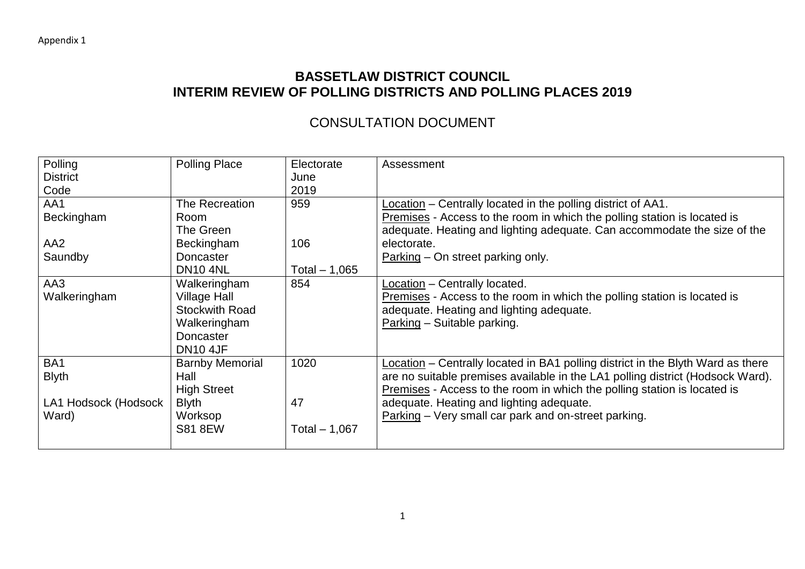## **BASSETLAW DISTRICT COUNCIL INTERIM REVIEW OF POLLING DISTRICTS AND POLLING PLACES 2019**

## CONSULTATION DOCUMENT

| Polling              | <b>Polling Place</b>   | Electorate     | Assessment                                                                      |
|----------------------|------------------------|----------------|---------------------------------------------------------------------------------|
| <b>District</b>      |                        | June           |                                                                                 |
| Code                 |                        | 2019           |                                                                                 |
| AA1                  | The Recreation         | 959            | Location – Centrally located in the polling district of AA1.                    |
| Beckingham           | Room                   |                | Premises - Access to the room in which the polling station is located is        |
|                      | The Green              |                | adequate. Heating and lighting adequate. Can accommodate the size of the        |
| AA <sub>2</sub>      | Beckingham             | 106            | electorate.                                                                     |
| Saundby              | Doncaster              |                | Parking – On street parking only.                                               |
|                      | <b>DN10 4NL</b>        | Total $-1,065$ |                                                                                 |
| AA3                  | Walkeringham           | 854            | Location - Centrally located.                                                   |
| Walkeringham         | <b>Village Hall</b>    |                | Premises - Access to the room in which the polling station is located is        |
|                      | <b>Stockwith Road</b>  |                | adequate. Heating and lighting adequate.                                        |
|                      | Walkeringham           |                | Parking - Suitable parking.                                                     |
|                      | <b>Doncaster</b>       |                |                                                                                 |
|                      | <b>DN10 4JF</b>        |                |                                                                                 |
| BA1                  | <b>Barnby Memorial</b> | 1020           | Location – Centrally located in BA1 polling district in the Blyth Ward as there |
| <b>Blyth</b>         | Hall                   |                | are no suitable premises available in the LA1 polling district (Hodsock Ward).  |
|                      | <b>High Street</b>     |                | Premises - Access to the room in which the polling station is located is        |
| LA1 Hodsock (Hodsock | <b>Blyth</b>           | 47             | adequate. Heating and lighting adequate.                                        |
| Ward)                | Worksop                |                | Parking - Very small car park and on-street parking.                            |
|                      | <b>S81 8EW</b>         | Total $-1,067$ |                                                                                 |
|                      |                        |                |                                                                                 |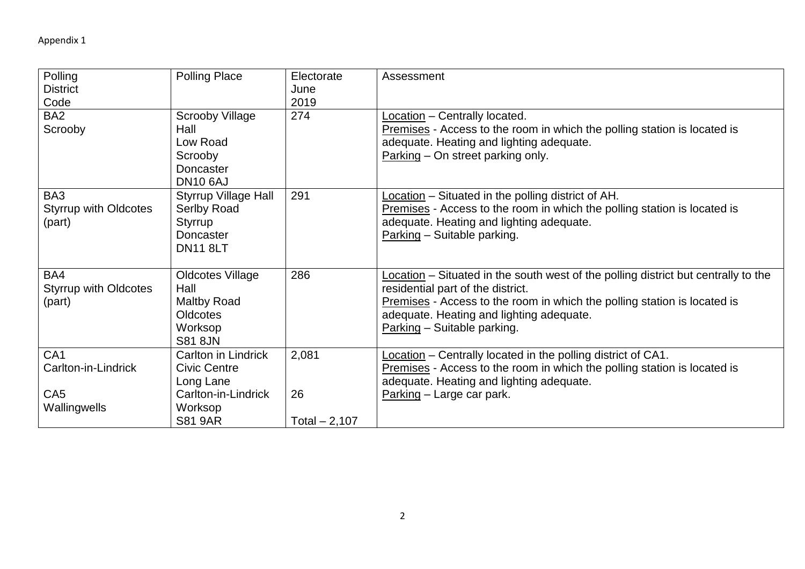| Polling<br><b>District</b><br>Code                        | <b>Polling Place</b>                                                                                | Electorate<br>June<br>2019 | Assessment                                                                                                                                                                                                                                                                     |
|-----------------------------------------------------------|-----------------------------------------------------------------------------------------------------|----------------------------|--------------------------------------------------------------------------------------------------------------------------------------------------------------------------------------------------------------------------------------------------------------------------------|
| BA <sub>2</sub><br>Scrooby                                | <b>Scrooby Village</b><br>Hall<br>Low Road<br>Scrooby<br>Doncaster<br><b>DN10 6AJ</b>               | 274                        | Location - Centrally located.<br>Premises - Access to the room in which the polling station is located is<br>adequate. Heating and lighting adequate.<br>Parking – On street parking only.                                                                                     |
| BA3<br><b>Styrrup with Oldcotes</b><br>(part)             | <b>Styrrup Village Hall</b><br>Serlby Road<br><b>Styrrup</b><br><b>Doncaster</b><br><b>DN11 8LT</b> | 291                        | Location – Situated in the polling district of AH.<br>Premises - Access to the room in which the polling station is located is<br>adequate. Heating and lighting adequate.<br>Parking - Suitable parking.                                                                      |
| BA4<br><b>Styrrup with Oldcotes</b><br>(part)             | <b>Oldcotes Village</b><br>Hall<br><b>Maltby Road</b><br>Oldcotes<br>Worksop<br><b>S81 8JN</b>      | 286                        | Location - Situated in the south west of the polling district but centrally to the<br>residential part of the district.<br>Premises - Access to the room in which the polling station is located is<br>adequate. Heating and lighting adequate.<br>Parking - Suitable parking. |
| CA <sub>1</sub><br>Carlton-in-Lindrick<br>CA <sub>5</sub> | <b>Carlton in Lindrick</b><br><b>Civic Centre</b><br>Long Lane<br>Carlton-in-Lindrick               | 2,081<br>26                | Location - Centrally located in the polling district of CA1.<br>Premises - Access to the room in which the polling station is located is<br>adequate. Heating and lighting adequate.<br>Parking - Large car park.                                                              |
| Wallingwells                                              | Worksop<br><b>S81 9AR</b>                                                                           | Total $-2,107$             |                                                                                                                                                                                                                                                                                |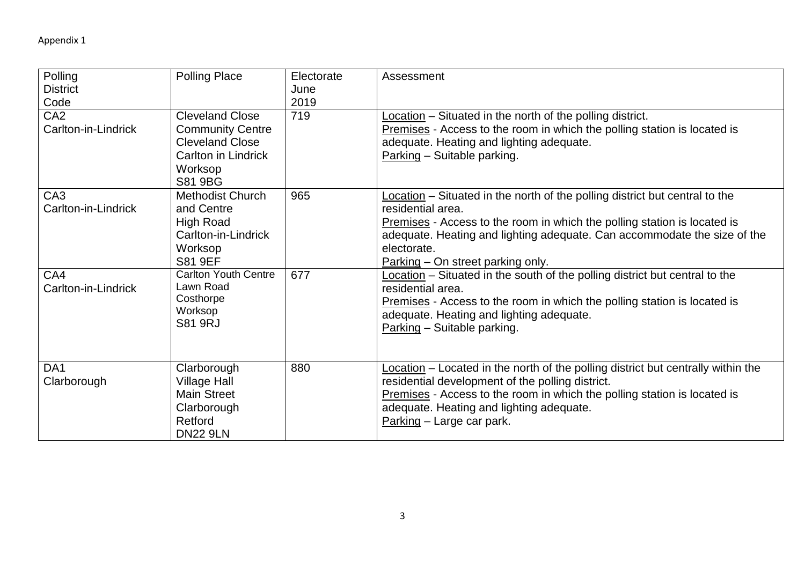| Polling<br><b>District</b><br>Code     | <b>Polling Place</b>                                                                                                            | Electorate<br>June<br>2019 | Assessment                                                                                                                                                                                                                                                                                                     |
|----------------------------------------|---------------------------------------------------------------------------------------------------------------------------------|----------------------------|----------------------------------------------------------------------------------------------------------------------------------------------------------------------------------------------------------------------------------------------------------------------------------------------------------------|
| CA <sub>2</sub><br>Carlton-in-Lindrick | <b>Cleveland Close</b><br><b>Community Centre</b><br><b>Cleveland Close</b><br><b>Carlton in Lindrick</b><br>Worksop<br>S81 9BG | 719                        | Location - Situated in the north of the polling district.<br>Premises - Access to the room in which the polling station is located is<br>adequate. Heating and lighting adequate.<br>Parking - Suitable parking.                                                                                               |
| CA <sub>3</sub><br>Carlton-in-Lindrick | <b>Methodist Church</b><br>and Centre<br><b>High Road</b><br>Carlton-in-Lindrick<br>Worksop<br><b>S81 9EF</b>                   | 965                        | Location – Situated in the north of the polling district but central to the<br>residential area.<br>Premises - Access to the room in which the polling station is located is<br>adequate. Heating and lighting adequate. Can accommodate the size of the<br>electorate.<br>$Parking - On street parking only.$ |
| CA4<br>Carlton-in-Lindrick             | <b>Carlton Youth Centre</b><br>Lawn Road<br>Costhorpe<br>Worksop<br><b>S81 9RJ</b>                                              | 677                        | Location - Situated in the south of the polling district but central to the<br>residential area.<br>Premises - Access to the room in which the polling station is located is<br>adequate. Heating and lighting adequate.<br>Parking - Suitable parking.                                                        |
| DA <sub>1</sub><br>Clarborough         | Clarborough<br><b>Village Hall</b><br><b>Main Street</b><br>Clarborough<br>Retford<br><b>DN22 9LN</b>                           | 880                        | Location – Located in the north of the polling district but centrally within the<br>residential development of the polling district.<br>Premises - Access to the room in which the polling station is located is<br>adequate. Heating and lighting adequate.<br>Parking - Large car park.                      |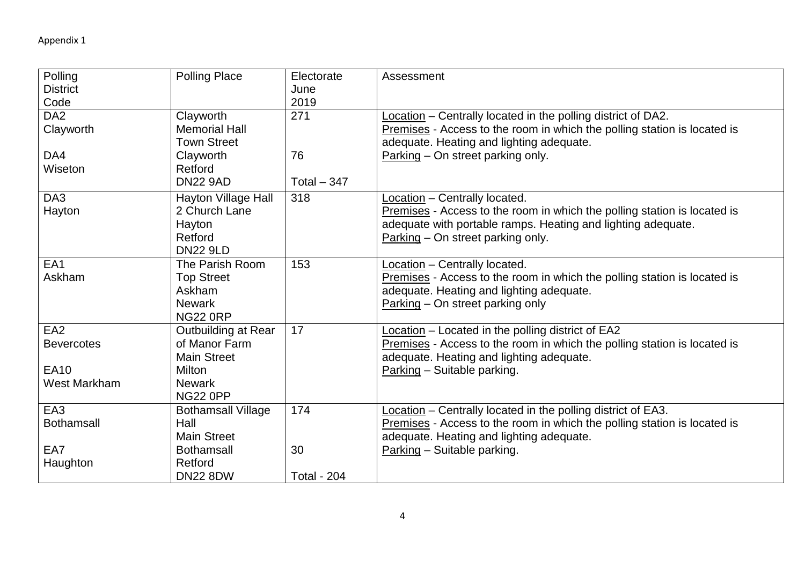| Polling             | <b>Polling Place</b>      | Electorate         | Assessment                                                               |
|---------------------|---------------------------|--------------------|--------------------------------------------------------------------------|
| <b>District</b>     |                           | June               |                                                                          |
| Code                |                           | 2019               |                                                                          |
| DA <sub>2</sub>     | Clayworth                 | 271                | Location - Centrally located in the polling district of DA2.             |
| Clayworth           | <b>Memorial Hall</b>      |                    | Premises - Access to the room in which the polling station is located is |
|                     | <b>Town Street</b>        |                    | adequate. Heating and lighting adequate.                                 |
| DA4                 | Clayworth                 | 76                 | Parking – On street parking only.                                        |
| Wiseton             | Retford                   |                    |                                                                          |
|                     | <b>DN22 9AD</b>           | Total $-347$       |                                                                          |
| DA <sub>3</sub>     | Hayton Village Hall       | 318                | Location - Centrally located.                                            |
| Hayton              | 2 Church Lane             |                    | Premises - Access to the room in which the polling station is located is |
|                     | Hayton                    |                    | adequate with portable ramps. Heating and lighting adequate.             |
|                     | Retford                   |                    | Parking – On street parking only.                                        |
|                     | <b>DN22 9LD</b>           |                    |                                                                          |
| EA1                 | The Parish Room           | 153                | Location - Centrally located.                                            |
| Askham              | <b>Top Street</b>         |                    | Premises - Access to the room in which the polling station is located is |
|                     | Askham                    |                    | adequate. Heating and lighting adequate.                                 |
|                     | <b>Newark</b>             |                    | Parking - On street parking only                                         |
|                     | <b>NG22 0RP</b>           |                    |                                                                          |
| EA <sub>2</sub>     | Outbuilding at Rear       | 17                 | Location - Located in the polling district of EA2                        |
| <b>Bevercotes</b>   | of Manor Farm             |                    | Premises - Access to the room in which the polling station is located is |
|                     | <b>Main Street</b>        |                    | adequate. Heating and lighting adequate.                                 |
| <b>EA10</b>         | Milton                    |                    | Parking - Suitable parking.                                              |
| <b>West Markham</b> | <b>Newark</b>             |                    |                                                                          |
|                     | <b>NG22 0PP</b>           |                    |                                                                          |
| EA <sub>3</sub>     | <b>Bothamsall Village</b> | 174                | Location - Centrally located in the polling district of EA3.             |
| <b>Bothamsall</b>   | Hall                      |                    | Premises - Access to the room in which the polling station is located is |
|                     | <b>Main Street</b>        |                    | adequate. Heating and lighting adequate.                                 |
| EA7                 | <b>Bothamsall</b>         | 30                 | Parking - Suitable parking.                                              |
| Haughton            | Retford                   |                    |                                                                          |
|                     | <b>DN22 8DW</b>           | <b>Total - 204</b> |                                                                          |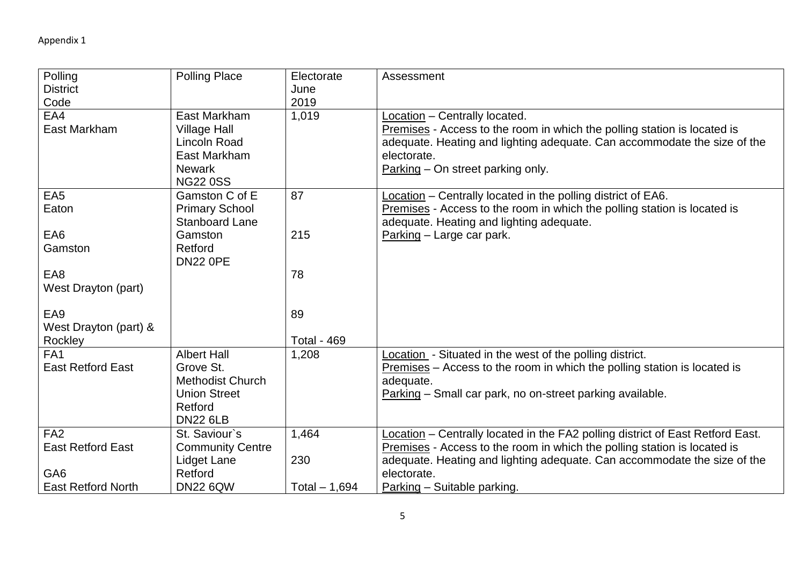| Polling<br><b>District</b>                  | <b>Polling Place</b>                                                                                            | Electorate<br>June | Assessment                                                                                                                                                                                                                                |
|---------------------------------------------|-----------------------------------------------------------------------------------------------------------------|--------------------|-------------------------------------------------------------------------------------------------------------------------------------------------------------------------------------------------------------------------------------------|
| Code                                        |                                                                                                                 | 2019               |                                                                                                                                                                                                                                           |
| EA4<br>East Markham                         | East Markham<br><b>Village Hall</b><br>Lincoln Road<br>East Markham<br><b>Newark</b><br><b>NG22 0SS</b>         | 1,019              | Location - Centrally located.<br>Premises - Access to the room in which the polling station is located is<br>adequate. Heating and lighting adequate. Can accommodate the size of the<br>electorate.<br>Parking – On street parking only. |
| EA <sub>5</sub><br>Eaton                    | Gamston C of E<br><b>Primary School</b><br><b>Stanboard Lane</b>                                                | 87                 | Location - Centrally located in the polling district of EA6.<br>Premises - Access to the room in which the polling station is located is<br>adequate. Heating and lighting adequate.                                                      |
| EA6<br>Gamston                              | Gamston<br>Retford<br><b>DN22 0PE</b>                                                                           | 215                | Parking - Large car park.                                                                                                                                                                                                                 |
| EA8<br>West Drayton (part)                  |                                                                                                                 | 78                 |                                                                                                                                                                                                                                           |
| EA <sub>9</sub><br>West Drayton (part) &    |                                                                                                                 | 89                 |                                                                                                                                                                                                                                           |
| Rockley                                     |                                                                                                                 | <b>Total - 469</b> |                                                                                                                                                                                                                                           |
| FA <sub>1</sub><br><b>East Retford East</b> | <b>Albert Hall</b><br>Grove St.<br><b>Methodist Church</b><br><b>Union Street</b><br>Retford<br><b>DN22 6LB</b> | 1,208              | Location - Situated in the west of the polling district.<br>$P$ remises – Access to the room in which the polling station is located is<br>adequate.<br>Parking – Small car park, no on-street parking available.                         |
| FA <sub>2</sub>                             | St. Saviour's                                                                                                   | 1,464              | Location – Centrally located in the FA2 polling district of East Retford East.                                                                                                                                                            |
| <b>East Retford East</b>                    | <b>Community Centre</b>                                                                                         |                    | Premises - Access to the room in which the polling station is located is                                                                                                                                                                  |
|                                             | Lidget Lane                                                                                                     | 230                | adequate. Heating and lighting adequate. Can accommodate the size of the                                                                                                                                                                  |
| GA <sub>6</sub>                             | Retford                                                                                                         |                    | electorate.                                                                                                                                                                                                                               |
| <b>East Retford North</b>                   | <b>DN22 6QW</b>                                                                                                 | Total - 1,694      | Parking - Suitable parking.                                                                                                                                                                                                               |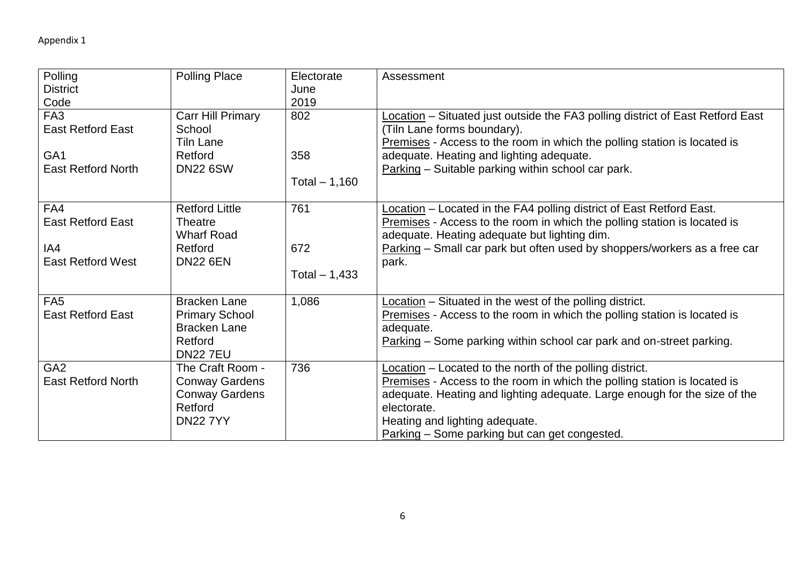| Polling                   | <b>Polling Place</b>     | Electorate     | Assessment                                                                     |
|---------------------------|--------------------------|----------------|--------------------------------------------------------------------------------|
| <b>District</b>           |                          | June           |                                                                                |
| Code                      |                          | 2019           |                                                                                |
| FA <sub>3</sub>           | <b>Carr Hill Primary</b> | 802            | Location - Situated just outside the FA3 polling district of East Retford East |
| <b>East Retford East</b>  | School                   |                | (Tiln Lane forms boundary).                                                    |
|                           | Tiln Lane                |                | Premises - Access to the room in which the polling station is located is       |
| GA <sub>1</sub>           | Retford                  | 358            | adequate. Heating and lighting adequate.                                       |
| <b>East Retford North</b> | <b>DN22 6SW</b>          |                | Parking – Suitable parking within school car park.                             |
|                           |                          | Total $-1,160$ |                                                                                |
| FA4                       | <b>Retford Little</b>    | 761            | Location - Located in the FA4 polling district of East Retford East.           |
| <b>East Retford East</b>  | Theatre                  |                | Premises - Access to the room in which the polling station is located is       |
|                           | <b>Wharf Road</b>        |                | adequate. Heating adequate but lighting dim.                                   |
| IA4                       | Retford                  | 672            | Parking - Small car park but often used by shoppers/workers as a free car      |
| <b>East Retford West</b>  | <b>DN22 6EN</b>          |                | park.                                                                          |
|                           |                          | Total $-1,433$ |                                                                                |
| FA <sub>5</sub>           | <b>Bracken Lane</b>      | 1,086          | Location - Situated in the west of the polling district.                       |
| <b>East Retford East</b>  | <b>Primary School</b>    |                | Premises - Access to the room in which the polling station is located is       |
|                           | <b>Bracken Lane</b>      |                | adequate.                                                                      |
|                           | Retford                  |                | Parking – Some parking within school car park and on-street parking.           |
|                           | <b>DN227EU</b>           |                |                                                                                |
| GA <sub>2</sub>           | The Craft Room -         | 736            | Location - Located to the north of the polling district.                       |
| <b>East Retford North</b> | <b>Conway Gardens</b>    |                | Premises - Access to the room in which the polling station is located is       |
|                           | <b>Conway Gardens</b>    |                | adequate. Heating and lighting adequate. Large enough for the size of the      |
|                           | Retford                  |                | electorate.                                                                    |
|                           | <b>DN22 7YY</b>          |                | Heating and lighting adequate.                                                 |
|                           |                          |                | Parking – Some parking but can get congested.                                  |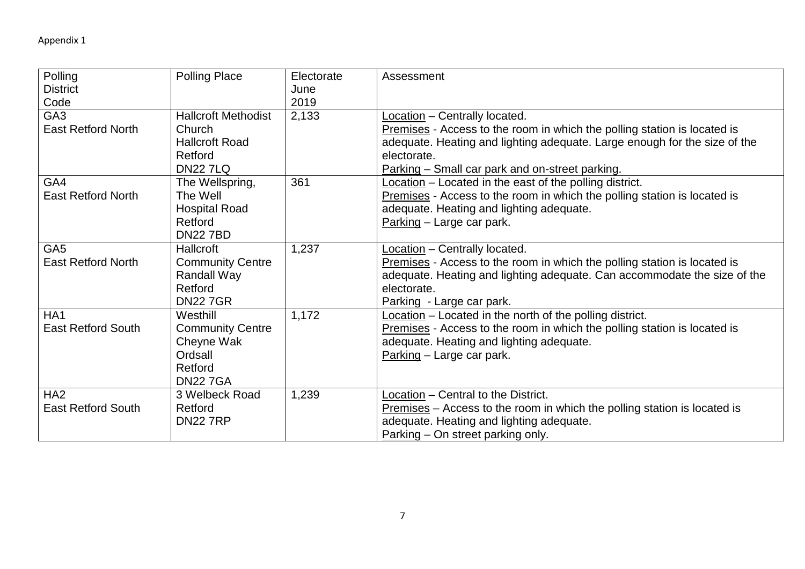| Polling<br><b>District</b> | <b>Polling Place</b>       | Electorate<br>June | Assessment                                                                  |
|----------------------------|----------------------------|--------------------|-----------------------------------------------------------------------------|
| Code                       |                            | 2019               |                                                                             |
| GA <sub>3</sub>            | <b>Hallcroft Methodist</b> | 2,133              | Location - Centrally located.                                               |
| <b>East Retford North</b>  | Church                     |                    | Premises - Access to the room in which the polling station is located is    |
|                            | <b>Hallcroft Road</b>      |                    | adequate. Heating and lighting adequate. Large enough for the size of the   |
|                            | Retford                    |                    | electorate.                                                                 |
|                            | <b>DN227LQ</b>             |                    | Parking - Small car park and on-street parking.                             |
| GA4                        | The Wellspring,            | 361                | Location – Located in the east of the polling district.                     |
| <b>East Retford North</b>  | The Well                   |                    | Premises - Access to the room in which the polling station is located is    |
|                            | <b>Hospital Road</b>       |                    | adequate. Heating and lighting adequate.                                    |
|                            | Retford                    |                    | Parking - Large car park.                                                   |
|                            | <b>DN227BD</b>             |                    |                                                                             |
| GA <sub>5</sub>            | Hallcroft                  | 1,237              | $Location - Centrally located.$                                             |
| <b>East Retford North</b>  | <b>Community Centre</b>    |                    | Premises - Access to the room in which the polling station is located is    |
|                            | <b>Randall Way</b>         |                    | adequate. Heating and lighting adequate. Can accommodate the size of the    |
|                            | Retford                    |                    | electorate.                                                                 |
|                            | <b>DN227GR</b>             |                    | Parking - Large car park.                                                   |
| HA <sub>1</sub>            | Westhill                   | 1,172              | Location - Located in the north of the polling district.                    |
| <b>East Retford South</b>  | <b>Community Centre</b>    |                    | Premises - Access to the room in which the polling station is located is    |
|                            | Cheyne Wak                 |                    | adequate. Heating and lighting adequate.                                    |
|                            | Ordsall                    |                    | Parking - Large car park.                                                   |
|                            | Retford                    |                    |                                                                             |
|                            | <b>DN227GA</b>             |                    |                                                                             |
| HA <sub>2</sub>            | 3 Welbeck Road             | 1,239              | Location - Central to the District.                                         |
| <b>East Retford South</b>  | Retford                    |                    | $P$ remises – Access to the room in which the polling station is located is |
|                            | <b>DN22 7RP</b>            |                    | adequate. Heating and lighting adequate.                                    |
|                            |                            |                    | $Parking - On street parking only.$                                         |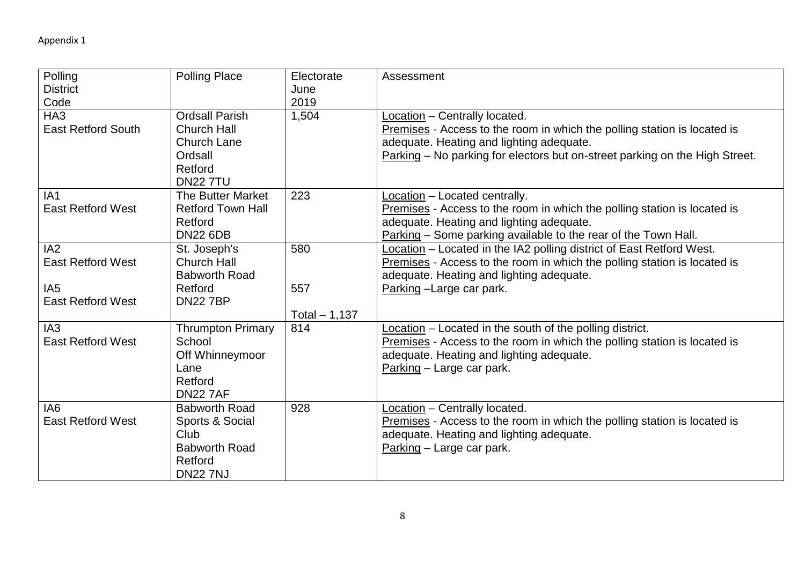| Polling<br><b>District</b><br>Code           | <b>Polling Place</b>                                                                                       | Electorate<br>June<br>2019 | Assessment                                                                                                                                                                                                                           |
|----------------------------------------------|------------------------------------------------------------------------------------------------------------|----------------------------|--------------------------------------------------------------------------------------------------------------------------------------------------------------------------------------------------------------------------------------|
| HA <sub>3</sub><br><b>East Retford South</b> | <b>Ordsall Parish</b><br><b>Church Hall</b><br><b>Church Lane</b><br>Ordsall<br>Retford<br><b>DN22 7TU</b> | 1,504                      | Location - Centrally located.<br>Premises - Access to the room in which the polling station is located is<br>adequate. Heating and lighting adequate.<br>Parking – No parking for electors but on-street parking on the High Street. |
| IA <sub>1</sub><br><b>East Retford West</b>  | <b>The Butter Market</b><br><b>Retford Town Hall</b><br>Retford<br><b>DN22 6DB</b>                         | 223                        | Location - Located centrally.<br>Premises - Access to the room in which the polling station is located is<br>adequate. Heating and lighting adequate.<br>Parking - Some parking available to the rear of the Town Hall.              |
| IA2<br><b>East Retford West</b>              | St. Joseph's<br><b>Church Hall</b><br><b>Babworth Road</b>                                                 | 580                        | Location - Located in the IA2 polling district of East Retford West.<br>Premises - Access to the room in which the polling station is located is<br>adequate. Heating and lighting adequate.                                         |
| IA <sub>5</sub><br><b>East Retford West</b>  | Retford<br><b>DN227BP</b>                                                                                  | 557<br>Total $-1,137$      | Parking - Large car park.                                                                                                                                                                                                            |
| IA <sub>3</sub><br><b>East Retford West</b>  | <b>Thrumpton Primary</b><br>School<br>Off Whinneymoor<br>Lane<br>Retford<br><b>DN22 7AF</b>                | 814                        | Location - Located in the south of the polling district.<br>Premises - Access to the room in which the polling station is located is<br>adequate. Heating and lighting adequate.<br>Parking - Large car park.                        |
| IA <sub>6</sub><br><b>East Retford West</b>  | <b>Babworth Road</b><br>Sports & Social<br>Club<br><b>Babworth Road</b><br>Retford<br><b>DN22 7NJ</b>      | 928                        | Location - Centrally located.<br>Premises - Access to the room in which the polling station is located is<br>adequate. Heating and lighting adequate.<br>Parking - Large car park.                                                   |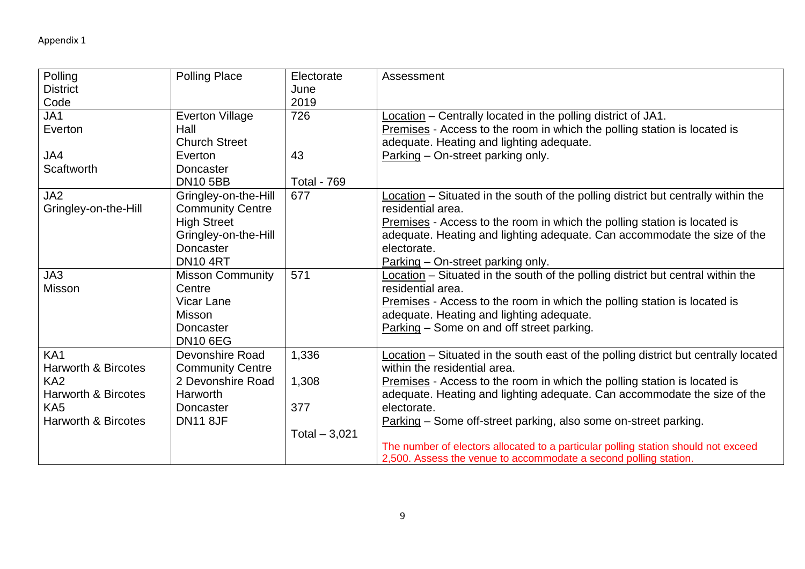| Polling                        | <b>Polling Place</b>    | Electorate         | Assessment                                                                          |
|--------------------------------|-------------------------|--------------------|-------------------------------------------------------------------------------------|
| <b>District</b>                |                         | June               |                                                                                     |
| Code                           |                         | 2019               |                                                                                     |
| JA1                            | <b>Everton Village</b>  | 726                | Location - Centrally located in the polling district of JA1.                        |
| Everton                        | Hall                    |                    | Premises - Access to the room in which the polling station is located is            |
|                                | <b>Church Street</b>    |                    | adequate. Heating and lighting adequate.                                            |
| JA4                            | Everton                 | 43                 | Parking – On-street parking only.                                                   |
| <b>Scaftworth</b>              | Doncaster               |                    |                                                                                     |
|                                | <b>DN10 5BB</b>         | <b>Total - 769</b> |                                                                                     |
| JA2                            | Gringley-on-the-Hill    | 677                | Location – Situated in the south of the polling district but centrally within the   |
| Gringley-on-the-Hill           | <b>Community Centre</b> |                    | residential area.                                                                   |
|                                | <b>High Street</b>      |                    | Premises - Access to the room in which the polling station is located is            |
|                                | Gringley-on-the-Hill    |                    | adequate. Heating and lighting adequate. Can accommodate the size of the            |
|                                | Doncaster               |                    | electorate.                                                                         |
|                                | <b>DN10 4RT</b>         |                    | Parking - On-street parking only.                                                   |
| JA3                            | <b>Misson Community</b> | 571                | Location – Situated in the south of the polling district but central within the     |
| <b>Misson</b>                  | Centre                  |                    | residential area.                                                                   |
|                                | <b>Vicar Lane</b>       |                    | Premises - Access to the room in which the polling station is located is            |
|                                | <b>Misson</b>           |                    | adequate. Heating and lighting adequate.                                            |
|                                | Doncaster               |                    | Parking - Some on and off street parking.                                           |
|                                | <b>DN10 6EG</b>         |                    |                                                                                     |
| KA <sub>1</sub>                | Devonshire Road         | 1,336              | Location – Situated in the south east of the polling district but centrally located |
| <b>Harworth &amp; Bircotes</b> | <b>Community Centre</b> |                    | within the residential area.                                                        |
| KA <sub>2</sub>                | 2 Devonshire Road       | 1,308              | Premises - Access to the room in which the polling station is located is            |
| <b>Harworth &amp; Bircotes</b> | Harworth                |                    | adequate. Heating and lighting adequate. Can accommodate the size of the            |
| KA <sub>5</sub>                | Doncaster               | 377                | electorate.                                                                         |
| <b>Harworth &amp; Bircotes</b> | <b>DN11 8JF</b>         |                    | Parking - Some off-street parking, also some on-street parking.                     |
|                                |                         | Total $-3,021$     |                                                                                     |
|                                |                         |                    | The number of electors allocated to a particular polling station should not exceed  |
|                                |                         |                    | 2,500. Assess the venue to accommodate a second polling station.                    |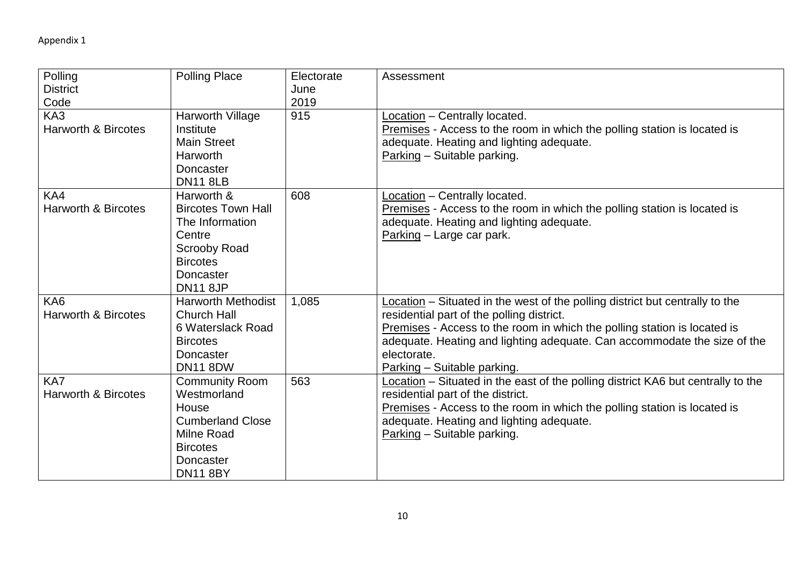| Polling<br><b>District</b><br>Code    | <b>Polling Place</b>                                                                                                                                  | Electorate<br>June<br>2019 | Assessment                                                                                                                                                                                                                                                                                                                      |
|---------------------------------------|-------------------------------------------------------------------------------------------------------------------------------------------------------|----------------------------|---------------------------------------------------------------------------------------------------------------------------------------------------------------------------------------------------------------------------------------------------------------------------------------------------------------------------------|
| KA3<br><b>Harworth &amp; Bircotes</b> | Harworth Village<br>Institute<br><b>Main Street</b><br>Harworth<br><b>Doncaster</b><br><b>DN11 8LB</b>                                                | 915                        | Location - Centrally located.<br>Premises - Access to the room in which the polling station is located is<br>adequate. Heating and lighting adequate.<br>Parking - Suitable parking.                                                                                                                                            |
| KA4<br><b>Harworth &amp; Bircotes</b> | Harworth &<br><b>Bircotes Town Hall</b><br>The Information<br>Centre<br><b>Scrooby Road</b><br><b>Bircotes</b><br><b>Doncaster</b><br><b>DN11 8JP</b> | 608                        | Location - Centrally located.<br>Premises - Access to the room in which the polling station is located is<br>adequate. Heating and lighting adequate.<br>Parking - Large car park.                                                                                                                                              |
| KA6<br><b>Harworth &amp; Bircotes</b> | <b>Harworth Methodist</b><br><b>Church Hall</b><br>6 Waterslack Road<br><b>Bircotes</b><br><b>Doncaster</b><br><b>DN11 8DW</b>                        | 1,085                      | Location - Situated in the west of the polling district but centrally to the<br>residential part of the polling district.<br>Premises - Access to the room in which the polling station is located is<br>adequate. Heating and lighting adequate. Can accommodate the size of the<br>electorate.<br>Parking - Suitable parking. |
| KA7<br><b>Harworth &amp; Bircotes</b> | <b>Community Room</b><br>Westmorland<br>House<br><b>Cumberland Close</b><br><b>Milne Road</b><br><b>Bircotes</b><br>Doncaster<br><b>DN11 8BY</b>      | 563                        | Location – Situated in the east of the polling district KA6 but centrally to the<br>residential part of the district.<br>Premises - Access to the room in which the polling station is located is<br>adequate. Heating and lighting adequate.<br>Parking - Suitable parking.                                                    |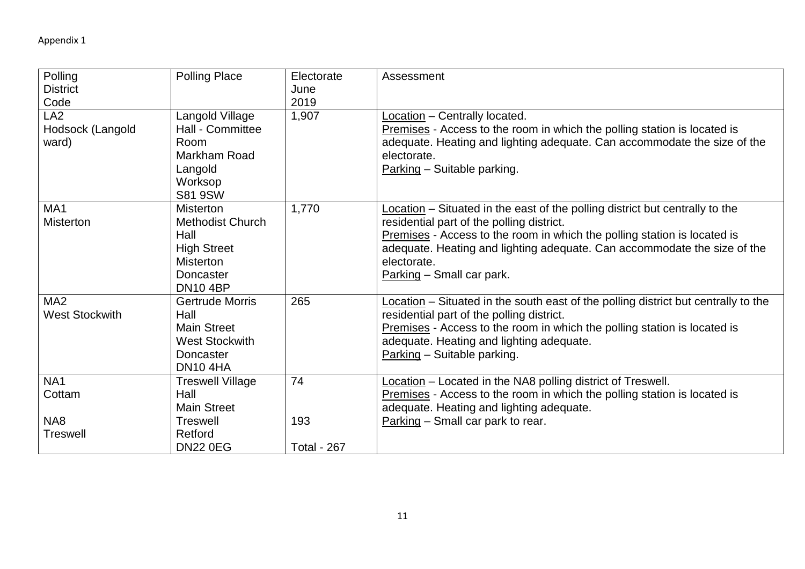| Polling               | <b>Polling Place</b>    | Electorate         | Assessment                                                                         |
|-----------------------|-------------------------|--------------------|------------------------------------------------------------------------------------|
| <b>District</b>       |                         | June               |                                                                                    |
| Code                  |                         | 2019               |                                                                                    |
| LA <sub>2</sub>       | Langold Village         | 1,907              | Location - Centrally located.                                                      |
| Hodsock (Langold      | Hall - Committee        |                    | Premises - Access to the room in which the polling station is located is           |
| ward)                 | Room                    |                    | adequate. Heating and lighting adequate. Can accommodate the size of the           |
|                       | Markham Road            |                    | electorate.                                                                        |
|                       | Langold                 |                    | Parking - Suitable parking.                                                        |
|                       | Worksop                 |                    |                                                                                    |
|                       | <b>S81 9SW</b>          |                    |                                                                                    |
| MA <sub>1</sub>       | <b>Misterton</b>        | 1,770              | Location – Situated in the east of the polling district but centrally to the       |
| <b>Misterton</b>      | <b>Methodist Church</b> |                    | residential part of the polling district.                                          |
|                       | Hall                    |                    | Premises - Access to the room in which the polling station is located is           |
|                       | <b>High Street</b>      |                    | adequate. Heating and lighting adequate. Can accommodate the size of the           |
|                       | <b>Misterton</b>        |                    | electorate.                                                                        |
|                       | Doncaster               |                    | Parking - Small car park.                                                          |
|                       | <b>DN10 4BP</b>         |                    |                                                                                    |
| MA <sub>2</sub>       | <b>Gertrude Morris</b>  | 265                | Location – Situated in the south east of the polling district but centrally to the |
| <b>West Stockwith</b> | Hall                    |                    | residential part of the polling district.                                          |
|                       | <b>Main Street</b>      |                    | Premises - Access to the room in which the polling station is located is           |
|                       | <b>West Stockwith</b>   |                    | adequate. Heating and lighting adequate.                                           |
|                       | Doncaster               |                    | Parking - Suitable parking.                                                        |
|                       | <b>DN10 4HA</b>         |                    |                                                                                    |
| NA <sub>1</sub>       | <b>Treswell Village</b> | 74                 | Location - Located in the NA8 polling district of Treswell.                        |
| Cottam                | Hall                    |                    | Premises - Access to the room in which the polling station is located is           |
|                       | <b>Main Street</b>      |                    | adequate. Heating and lighting adequate.                                           |
| NA8                   | <b>Treswell</b>         | 193                | Parking - Small car park to rear.                                                  |
| <b>Treswell</b>       | Retford                 |                    |                                                                                    |
|                       | <b>DN22 0EG</b>         | <b>Total - 267</b> |                                                                                    |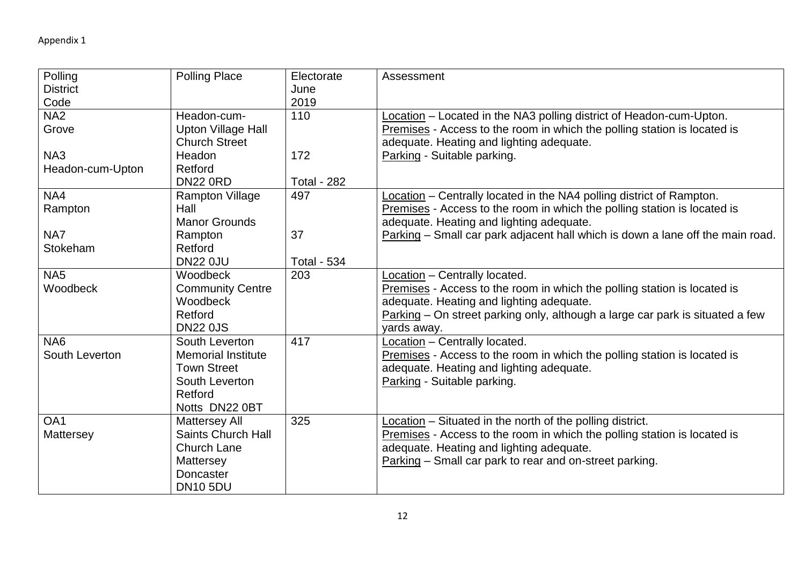| Polling          | <b>Polling Place</b>      | Electorate         | Assessment                                                                     |
|------------------|---------------------------|--------------------|--------------------------------------------------------------------------------|
| <b>District</b>  |                           | June               |                                                                                |
| Code             |                           | 2019               |                                                                                |
| NA <sub>2</sub>  | Headon-cum-               | 110                | Location - Located in the NA3 polling district of Headon-cum-Upton.            |
| Grove            | <b>Upton Village Hall</b> |                    | Premises - Access to the room in which the polling station is located is       |
|                  | <b>Church Street</b>      |                    | adequate. Heating and lighting adequate.                                       |
| NA3              | Headon                    | 172                | Parking - Suitable parking.                                                    |
| Headon-cum-Upton | Retford                   |                    |                                                                                |
|                  | <b>DN22 0RD</b>           | <b>Total - 282</b> |                                                                                |
| NA4              | <b>Rampton Village</b>    | 497                | Location - Centrally located in the NA4 polling district of Rampton.           |
| Rampton          | Hall                      |                    | Premises - Access to the room in which the polling station is located is       |
|                  | <b>Manor Grounds</b>      |                    | adequate. Heating and lighting adequate.                                       |
| NA7              | Rampton                   | 37                 | Parking – Small car park adjacent hall which is down a lane off the main road. |
| Stokeham         | Retford                   |                    |                                                                                |
|                  | <b>DN22 0JU</b>           | <b>Total - 534</b> |                                                                                |
| NA <sub>5</sub>  | Woodbeck                  | 203                | Location - Centrally located.                                                  |
| Woodbeck         | <b>Community Centre</b>   |                    | Premises - Access to the room in which the polling station is located is       |
|                  | Woodbeck                  |                    | adequate. Heating and lighting adequate.                                       |
|                  | Retford                   |                    | Parking – On street parking only, although a large car park is situated a few  |
|                  | <b>DN22 0JS</b>           |                    | yards away.                                                                    |
| NA <sub>6</sub>  | South Leverton            | 417                | Location - Centrally located.                                                  |
| South Leverton   | <b>Memorial Institute</b> |                    | Premises - Access to the room in which the polling station is located is       |
|                  | <b>Town Street</b>        |                    | adequate. Heating and lighting adequate.                                       |
|                  | South Leverton            |                    | Parking - Suitable parking.                                                    |
|                  | Retford                   |                    |                                                                                |
|                  | Notts DN22 0BT            |                    |                                                                                |
| OA1              | <b>Mattersey All</b>      | 325                | Location - Situated in the north of the polling district.                      |
| Mattersey        | <b>Saints Church Hall</b> |                    | Premises - Access to the room in which the polling station is located is       |
|                  | <b>Church Lane</b>        |                    | adequate. Heating and lighting adequate.                                       |
|                  | Mattersey                 |                    | Parking - Small car park to rear and on-street parking.                        |
|                  | Doncaster                 |                    |                                                                                |
|                  | <b>DN10 5DU</b>           |                    |                                                                                |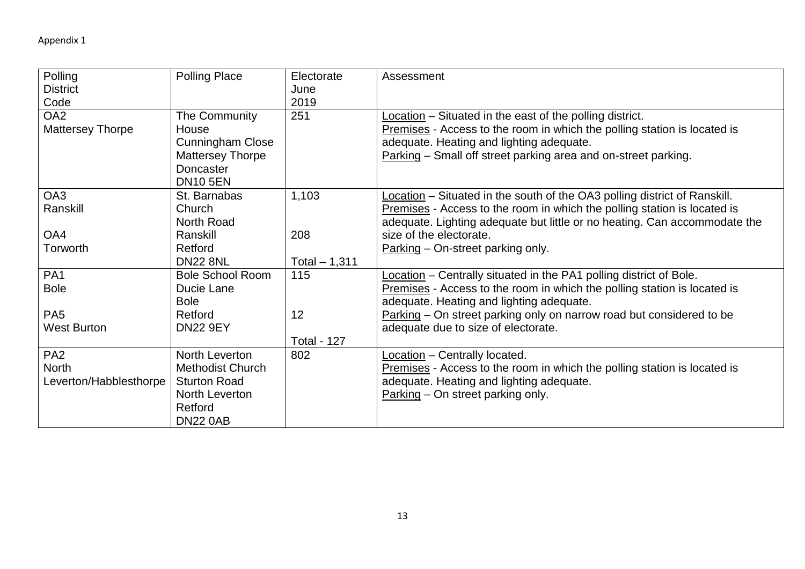| Polling<br><b>District</b><br>Code                        | <b>Polling Place</b>                                                                                             | Electorate<br>June<br>2019 | Assessment                                                                                                                                                                                                                                         |
|-----------------------------------------------------------|------------------------------------------------------------------------------------------------------------------|----------------------------|----------------------------------------------------------------------------------------------------------------------------------------------------------------------------------------------------------------------------------------------------|
| OA <sub>2</sub><br><b>Mattersey Thorpe</b>                | The Community<br>House<br><b>Cunningham Close</b><br><b>Mattersey Thorpe</b><br>Doncaster<br><b>DN10 5EN</b>     | 251                        | Location – Situated in the east of the polling district.<br>Premises - Access to the room in which the polling station is located is<br>adequate. Heating and lighting adequate.<br>Parking - Small off street parking area and on-street parking. |
| OA3<br>Ranskill                                           | St. Barnabas<br>Church<br>North Road                                                                             | 1,103                      | Location – Situated in the south of the OA3 polling district of Ranskill.<br>Premises - Access to the room in which the polling station is located is<br>adequate. Lighting adequate but little or no heating. Can accommodate the                 |
| OA4<br>Torworth                                           | Ranskill<br>Retford<br><b>DN22 8NL</b>                                                                           | 208<br>Total $-1,311$      | size of the electorate.<br>Parking – On-street parking only.                                                                                                                                                                                       |
| PA <sub>1</sub><br><b>Bole</b>                            | <b>Bole School Room</b><br>Ducie Lane<br><b>Bole</b>                                                             | 115                        | Location – Centrally situated in the PA1 polling district of Bole.<br>Premises - Access to the room in which the polling station is located is<br>adequate. Heating and lighting adequate.                                                         |
| PA <sub>5</sub><br><b>West Burton</b>                     | Retford<br><b>DN22 9EY</b>                                                                                       | 12<br><b>Total - 127</b>   | Parking – On street parking only on narrow road but considered to be<br>adequate due to size of electorate.                                                                                                                                        |
| PA <sub>2</sub><br><b>North</b><br>Leverton/Habblesthorpe | North Leverton<br><b>Methodist Church</b><br><b>Sturton Road</b><br>North Leverton<br>Retford<br><b>DN22 0AB</b> | 802                        | Location - Centrally located.<br><b>Premises</b> - Access to the room in which the polling station is located is<br>adequate. Heating and lighting adequate.<br>Parking - On street parking only.                                                  |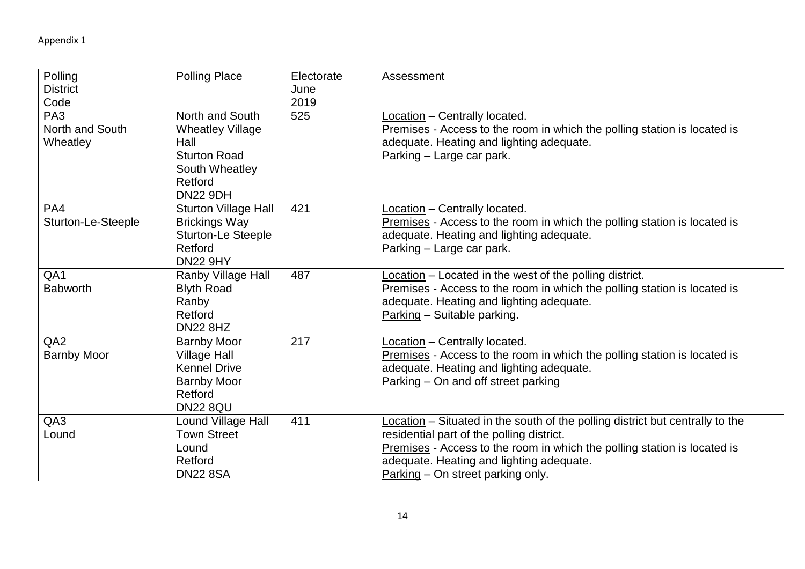| Polling<br><b>District</b><br>Code             | <b>Polling Place</b>                                                                                                      | Electorate<br>June<br>2019 | Assessment                                                                                                                                                                                                                                                                              |
|------------------------------------------------|---------------------------------------------------------------------------------------------------------------------------|----------------------------|-----------------------------------------------------------------------------------------------------------------------------------------------------------------------------------------------------------------------------------------------------------------------------------------|
| PA <sub>3</sub><br>North and South<br>Wheatley | North and South<br><b>Wheatley Village</b><br>Hall<br><b>Sturton Road</b><br>South Wheatley<br>Retford<br><b>DN22 9DH</b> | 525                        | Location - Centrally located.<br>Premises - Access to the room in which the polling station is located is<br>adequate. Heating and lighting adequate.<br>Parking - Large car park.                                                                                                      |
| PA4<br>Sturton-Le-Steeple                      | <b>Sturton Village Hall</b><br><b>Brickings Way</b><br><b>Sturton-Le Steeple</b><br>Retford<br><b>DN22 9HY</b>            | 421                        | Location - Centrally located.<br>Premises - Access to the room in which the polling station is located is<br>adequate. Heating and lighting adequate.<br>Parking - Large car park.                                                                                                      |
| QA1<br><b>Babworth</b>                         | Ranby Village Hall<br><b>Blyth Road</b><br>Ranby<br>Retford<br><b>DN22 8HZ</b>                                            | 487                        | Location - Located in the west of the polling district.<br>Premises - Access to the room in which the polling station is located is<br>adequate. Heating and lighting adequate.<br>Parking - Suitable parking.                                                                          |
| QA <sub>2</sub><br><b>Barnby Moor</b>          | <b>Barnby Moor</b><br><b>Village Hall</b><br><b>Kennel Drive</b><br><b>Barnby Moor</b><br>Retford<br><b>DN22 8QU</b>      | 217                        | Location - Centrally located.<br>Premises - Access to the room in which the polling station is located is<br>adequate. Heating and lighting adequate.<br>Parking - On and off street parking                                                                                            |
| QA3<br>Lound                                   | Lound Village Hall<br><b>Town Street</b><br>Lound<br>Retford<br><b>DN22 8SA</b>                                           | 411                        | Location - Situated in the south of the polling district but centrally to the<br>residential part of the polling district.<br>Premises - Access to the room in which the polling station is located is<br>adequate. Heating and lighting adequate.<br>Parking – On street parking only. |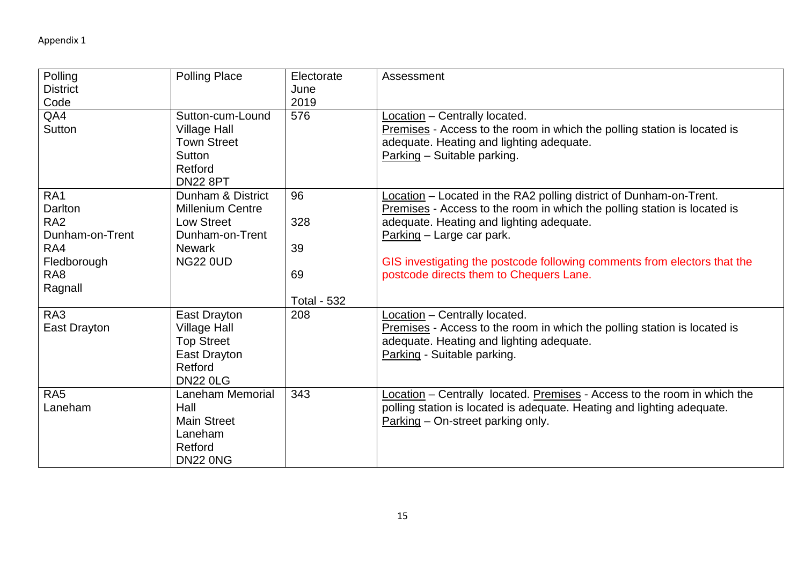| Polling<br><b>District</b><br>Code<br>QA4                                                                            | <b>Polling Place</b><br>Sutton-cum-Lound                                                                                 | Electorate<br>June<br>2019<br>576           | Assessment<br>Location - Centrally located.                                                                                                                                                                                                                                                                                                    |
|----------------------------------------------------------------------------------------------------------------------|--------------------------------------------------------------------------------------------------------------------------|---------------------------------------------|------------------------------------------------------------------------------------------------------------------------------------------------------------------------------------------------------------------------------------------------------------------------------------------------------------------------------------------------|
| Sutton                                                                                                               | <b>Village Hall</b><br><b>Town Street</b><br>Sutton<br>Retford<br><b>DN22 8PT</b>                                        |                                             | Premises - Access to the room in which the polling station is located is<br>adequate. Heating and lighting adequate.<br>Parking - Suitable parking.                                                                                                                                                                                            |
| RA <sub>1</sub><br>Darlton<br>RA <sub>2</sub><br>Dunham-on-Trent<br>RA4<br>Fledborough<br>RA <sub>8</sub><br>Ragnall | Dunham & District<br><b>Millenium Centre</b><br><b>Low Street</b><br>Dunham-on-Trent<br><b>Newark</b><br><b>NG22 0UD</b> | 96<br>328<br>39<br>69<br><b>Total - 532</b> | Location - Located in the RA2 polling district of Dunham-on-Trent.<br>Premises - Access to the room in which the polling station is located is<br>adequate. Heating and lighting adequate.<br>Parking - Large car park.<br>GIS investigating the postcode following comments from electors that the<br>postcode directs them to Chequers Lane. |
| RA3<br>East Drayton                                                                                                  | East Drayton<br><b>Village Hall</b><br><b>Top Street</b><br>East Drayton<br>Retford<br><b>DN22 0LG</b>                   | 208                                         | Location - Centrally located.<br>Premises - Access to the room in which the polling station is located is<br>adequate. Heating and lighting adequate.<br>Parking - Suitable parking.                                                                                                                                                           |
| RA <sub>5</sub><br>Laneham                                                                                           | <b>Laneham Memorial</b><br>Hall<br><b>Main Street</b><br>Laneham<br>Retford<br><b>DN22 0NG</b>                           | 343                                         | Location - Centrally located. Premises - Access to the room in which the<br>polling station is located is adequate. Heating and lighting adequate.<br>Parking – On-street parking only.                                                                                                                                                        |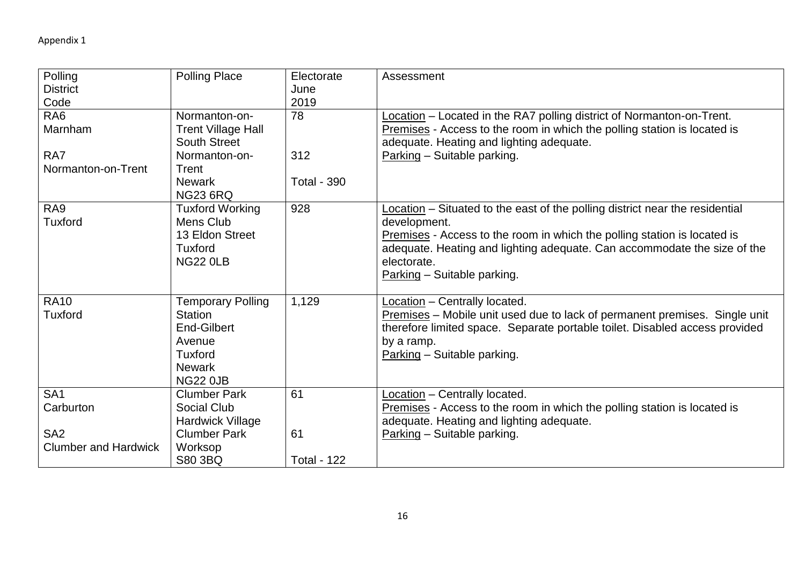| Polling                     | <b>Polling Place</b>      | Electorate         | Assessment                                                                   |
|-----------------------------|---------------------------|--------------------|------------------------------------------------------------------------------|
| <b>District</b>             |                           | June               |                                                                              |
| Code                        |                           | 2019               |                                                                              |
| RA <sub>6</sub>             | Normanton-on-             | 78                 | Location - Located in the RA7 polling district of Normanton-on-Trent.        |
| Marnham                     | <b>Trent Village Hall</b> |                    | Premises - Access to the room in which the polling station is located is     |
|                             | <b>South Street</b>       |                    | adequate. Heating and lighting adequate.                                     |
| RA7                         | Normanton-on-             | 312                | Parking - Suitable parking.                                                  |
| Normanton-on-Trent          | Trent                     |                    |                                                                              |
|                             | <b>Newark</b>             | <b>Total - 390</b> |                                                                              |
|                             | <b>NG23 6RQ</b>           |                    |                                                                              |
| RA <sub>9</sub>             | <b>Tuxford Working</b>    | 928                | Location - Situated to the east of the polling district near the residential |
| <b>Tuxford</b>              | Mens Club                 |                    | development.                                                                 |
|                             | 13 Eldon Street           |                    | Premises - Access to the room in which the polling station is located is     |
|                             | <b>Tuxford</b>            |                    | adequate. Heating and lighting adequate. Can accommodate the size of the     |
|                             | <b>NG22 0LB</b>           |                    | electorate.                                                                  |
|                             |                           |                    | Parking - Suitable parking.                                                  |
|                             |                           |                    |                                                                              |
| <b>RA10</b>                 | <b>Temporary Polling</b>  | 1,129              | Location - Centrally located.                                                |
| <b>Tuxford</b>              | <b>Station</b>            |                    | Premises – Mobile unit used due to lack of permanent premises. Single unit   |
|                             | End-Gilbert               |                    | therefore limited space. Separate portable toilet. Disabled access provided  |
|                             | Avenue                    |                    | by a ramp.                                                                   |
|                             | <b>Tuxford</b>            |                    | Parking - Suitable parking.                                                  |
|                             | <b>Newark</b>             |                    |                                                                              |
|                             | <b>NG22 0JB</b>           |                    |                                                                              |
| SA <sub>1</sub>             | <b>Clumber Park</b>       | 61                 | Location - Centrally located.                                                |
| Carburton                   | Social Club               |                    | Premises - Access to the room in which the polling station is located is     |
|                             | Hardwick Village          |                    | adequate. Heating and lighting adequate.                                     |
| SA <sub>2</sub>             | <b>Clumber Park</b>       | 61                 | Parking - Suitable parking.                                                  |
| <b>Clumber and Hardwick</b> | Worksop                   |                    |                                                                              |
|                             | S80 3BQ                   | <b>Total - 122</b> |                                                                              |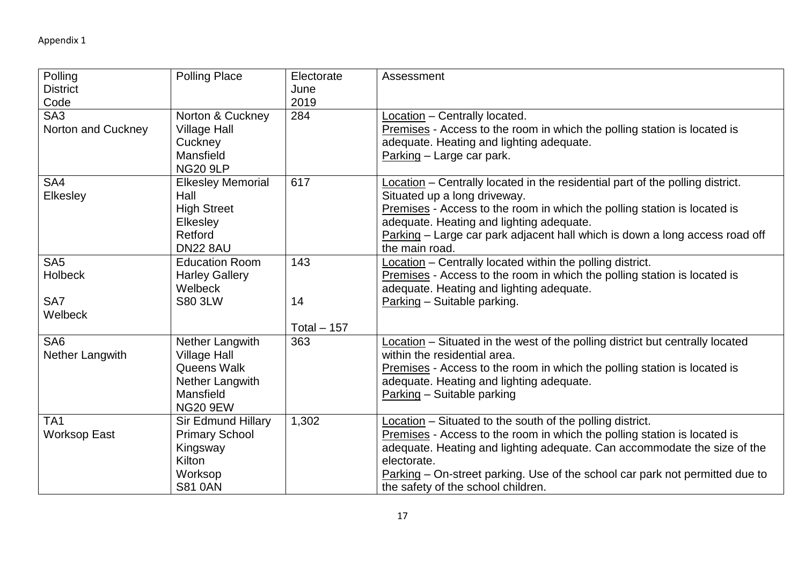| Polling             | <b>Polling Place</b>      | Electorate   | Assessment                                                                    |
|---------------------|---------------------------|--------------|-------------------------------------------------------------------------------|
| <b>District</b>     |                           | June         |                                                                               |
| Code                |                           | 2019         |                                                                               |
| SA <sub>3</sub>     | Norton & Cuckney          | 284          | Location - Centrally located.                                                 |
| Norton and Cuckney  | <b>Village Hall</b>       |              | Premises - Access to the room in which the polling station is located is      |
|                     | Cuckney                   |              | adequate. Heating and lighting adequate.                                      |
|                     | Mansfield                 |              | Parking - Large car park.                                                     |
|                     | <b>NG20 9LP</b>           |              |                                                                               |
| SA4                 | <b>Elkesley Memorial</b>  | 617          | Location - Centrally located in the residential part of the polling district. |
| <b>Elkesley</b>     | Hall                      |              | Situated up a long driveway.                                                  |
|                     | <b>High Street</b>        |              | Premises - Access to the room in which the polling station is located is      |
|                     | Elkesley                  |              | adequate. Heating and lighting adequate.                                      |
|                     | Retford                   |              | Parking - Large car park adjacent hall which is down a long access road off   |
|                     | <b>DN22 8AU</b>           |              | the main road.                                                                |
| SA <sub>5</sub>     | <b>Education Room</b>     | 143          | Location - Centrally located within the polling district.                     |
| Holbeck             | <b>Harley Gallery</b>     |              | Premises - Access to the room in which the polling station is located is      |
|                     | Welbeck                   |              | adequate. Heating and lighting adequate.                                      |
| SA7                 | <b>S80 3LW</b>            | 14           | Parking - Suitable parking.                                                   |
| Welbeck             |                           |              |                                                                               |
|                     |                           | Total $-157$ |                                                                               |
| SA <sub>6</sub>     | Nether Langwith           | 363          | Location – Situated in the west of the polling district but centrally located |
| Nether Langwith     | <b>Village Hall</b>       |              | within the residential area.                                                  |
|                     | Queens Walk               |              | Premises - Access to the room in which the polling station is located is      |
|                     | Nether Langwith           |              | adequate. Heating and lighting adequate.                                      |
|                     | Mansfield                 |              | Parking - Suitable parking                                                    |
|                     | <b>NG20 9EW</b>           |              |                                                                               |
| TA <sub>1</sub>     | <b>Sir Edmund Hillary</b> | 1,302        | Location - Situated to the south of the polling district.                     |
| <b>Worksop East</b> | <b>Primary School</b>     |              | Premises - Access to the room in which the polling station is located is      |
|                     | Kingsway                  |              | adequate. Heating and lighting adequate. Can accommodate the size of the      |
|                     | Kilton                    |              | electorate.                                                                   |
|                     | Worksop                   |              | Parking – On-street parking. Use of the school car park not permitted due to  |
|                     | <b>S81 0AN</b>            |              | the safety of the school children.                                            |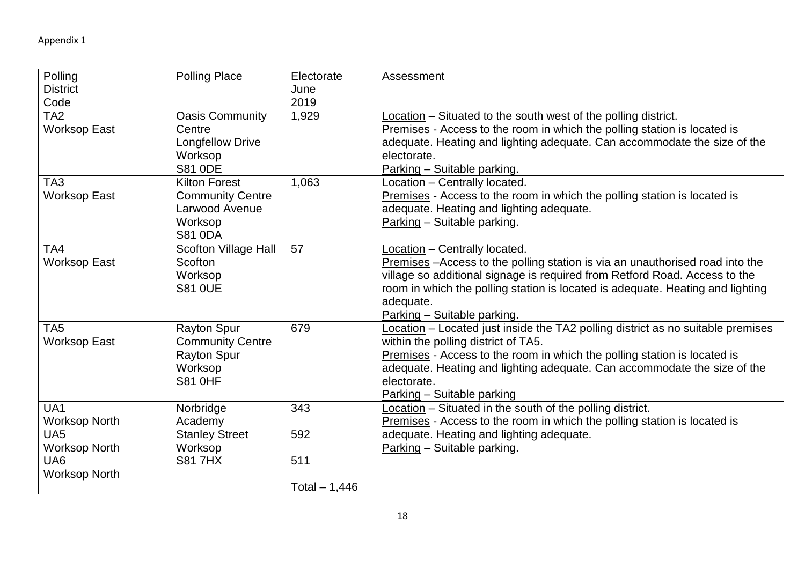| Polling              | <b>Polling Place</b>    | Electorate     | Assessment                                                                      |
|----------------------|-------------------------|----------------|---------------------------------------------------------------------------------|
| <b>District</b>      |                         | June           |                                                                                 |
| Code                 |                         | 2019           |                                                                                 |
| TA <sub>2</sub>      | <b>Oasis Community</b>  | 1,929          | Location – Situated to the south west of the polling district.                  |
| <b>Worksop East</b>  | Centre                  |                | Premises - Access to the room in which the polling station is located is        |
|                      | <b>Longfellow Drive</b> |                | adequate. Heating and lighting adequate. Can accommodate the size of the        |
|                      | Worksop                 |                | electorate.                                                                     |
|                      | <b>S81 ODE</b>          |                | Parking - Suitable parking.                                                     |
| TA <sub>3</sub>      | <b>Kilton Forest</b>    | 1,063          | Location - Centrally located.                                                   |
| <b>Worksop East</b>  | <b>Community Centre</b> |                | Premises - Access to the room in which the polling station is located is        |
|                      | Larwood Avenue          |                | adequate. Heating and lighting adequate.                                        |
|                      | Worksop                 |                | Parking - Suitable parking.                                                     |
|                      | <b>S81 0DA</b>          |                |                                                                                 |
| TA4                  | Scofton Village Hall    | 57             | Location - Centrally located.                                                   |
| <b>Worksop East</b>  | <b>Scofton</b>          |                | Premises – Access to the polling station is via an unauthorised road into the   |
|                      | Worksop                 |                | village so additional signage is required from Retford Road. Access to the      |
|                      | <b>S81 0UE</b>          |                | room in which the polling station is located is adequate. Heating and lighting  |
|                      |                         |                | adequate.                                                                       |
|                      |                         |                | Parking - Suitable parking.                                                     |
| TA <sub>5</sub>      | <b>Rayton Spur</b>      | 679            | Location - Located just inside the TA2 polling district as no suitable premises |
| Worksop East         | <b>Community Centre</b> |                | within the polling district of TA5.                                             |
|                      | <b>Rayton Spur</b>      |                | Premises - Access to the room in which the polling station is located is        |
|                      | Worksop                 |                | adequate. Heating and lighting adequate. Can accommodate the size of the        |
|                      | <b>S81 0HF</b>          |                | electorate.                                                                     |
|                      |                         |                | Parking - Suitable parking                                                      |
| UA1                  | Norbridge               | 343            | Location - Situated in the south of the polling district.                       |
| <b>Worksop North</b> | Academy                 |                | Premises - Access to the room in which the polling station is located is        |
| UA <sub>5</sub>      | <b>Stanley Street</b>   | 592            | adequate. Heating and lighting adequate.                                        |
| <b>Worksop North</b> | Worksop                 |                | Parking - Suitable parking.                                                     |
| UA <sub>6</sub>      | <b>S81 7HX</b>          | 511            |                                                                                 |
| <b>Worksop North</b> |                         |                |                                                                                 |
|                      |                         | Total $-1,446$ |                                                                                 |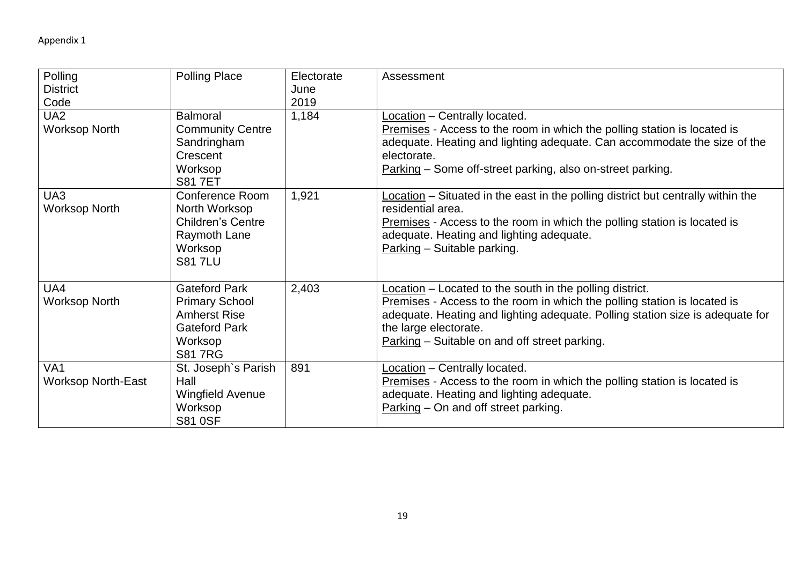| Polling                   | <b>Polling Place</b>     | Electorate | Assessment                                                                       |
|---------------------------|--------------------------|------------|----------------------------------------------------------------------------------|
| <b>District</b>           |                          | June       |                                                                                  |
| Code                      |                          | 2019       |                                                                                  |
| UA <sub>2</sub>           | <b>Balmoral</b>          | 1,184      | Location - Centrally located.                                                    |
| <b>Worksop North</b>      | <b>Community Centre</b>  |            | Premises - Access to the room in which the polling station is located is         |
|                           | Sandringham              |            | adequate. Heating and lighting adequate. Can accommodate the size of the         |
|                           | Crescent                 |            | electorate.                                                                      |
|                           | Worksop                  |            | Parking - Some off-street parking, also on-street parking.                       |
|                           | <b>S817ET</b>            |            |                                                                                  |
| UA3                       | Conference Room          | 1,921      | Location – Situated in the east in the polling district but centrally within the |
| <b>Worksop North</b>      | North Worksop            |            | residential area.                                                                |
|                           | <b>Children's Centre</b> |            | Premises - Access to the room in which the polling station is located is         |
|                           | Raymoth Lane             |            | adequate. Heating and lighting adequate.                                         |
|                           | Worksop                  |            | Parking - Suitable parking.                                                      |
|                           | <b>S817LU</b>            |            |                                                                                  |
|                           |                          |            |                                                                                  |
| UA4                       | <b>Gateford Park</b>     | 2,403      | Location - Located to the south in the polling district.                         |
| <b>Worksop North</b>      | <b>Primary School</b>    |            | Premises - Access to the room in which the polling station is located is         |
|                           | <b>Amherst Rise</b>      |            | adequate. Heating and lighting adequate. Polling station size is adequate for    |
|                           | <b>Gateford Park</b>     |            | the large electorate.                                                            |
|                           | Worksop                  |            | Parking – Suitable on and off street parking.                                    |
|                           | <b>S817RG</b>            |            |                                                                                  |
| VA <sub>1</sub>           | St. Joseph's Parish      | 891        | Location - Centrally located.                                                    |
| <b>Worksop North-East</b> | Hall                     |            | Premises - Access to the room in which the polling station is located is         |
|                           | <b>Wingfield Avenue</b>  |            | adequate. Heating and lighting adequate.                                         |
|                           | Worksop                  |            | Parking – On and off street parking.                                             |
|                           | <b>S81 0SF</b>           |            |                                                                                  |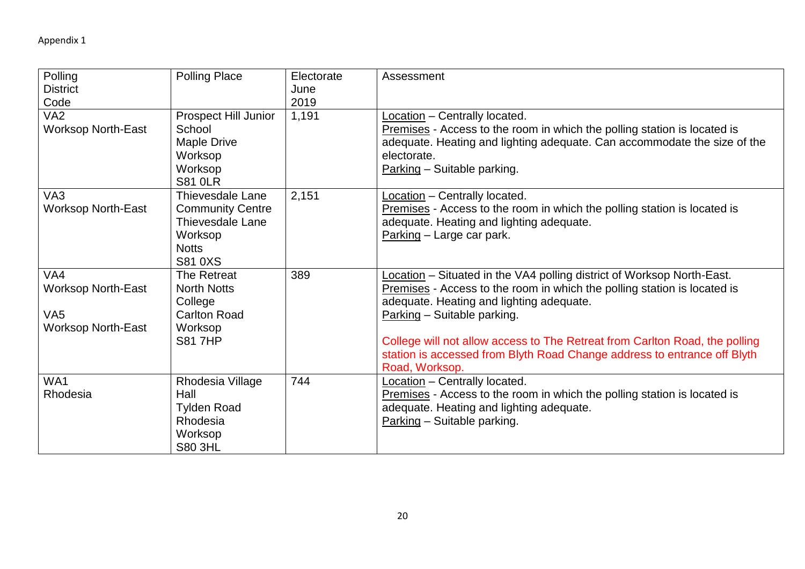| Polling<br><b>District</b>                                                       | <b>Polling Place</b>                                                                                                       | Electorate<br>June | Assessment                                                                                                                                                                                                                                                                                                                                                                                                 |
|----------------------------------------------------------------------------------|----------------------------------------------------------------------------------------------------------------------------|--------------------|------------------------------------------------------------------------------------------------------------------------------------------------------------------------------------------------------------------------------------------------------------------------------------------------------------------------------------------------------------------------------------------------------------|
| Code                                                                             |                                                                                                                            | 2019               |                                                                                                                                                                                                                                                                                                                                                                                                            |
| VA <sub>2</sub><br><b>Worksop North-East</b>                                     | <b>Prospect Hill Junior</b><br>School<br>Maple Drive<br>Worksop<br>Worksop<br><b>S81 OLR</b>                               | 1,191              | Location - Centrally located.<br>Premises - Access to the room in which the polling station is located is<br>adequate. Heating and lighting adequate. Can accommodate the size of the<br>electorate.<br>Parking - Suitable parking.                                                                                                                                                                        |
| VA <sub>3</sub><br><b>Worksop North-East</b>                                     | <b>Thievesdale Lane</b><br><b>Community Centre</b><br><b>Thievesdale Lane</b><br>Worksop<br><b>Notts</b><br><b>S81 0XS</b> | 2,151              | Location - Centrally located.<br>Premises - Access to the room in which the polling station is located is<br>adequate. Heating and lighting adequate.<br>Parking - Large car park.                                                                                                                                                                                                                         |
| VA4<br><b>Worksop North-East</b><br>VA <sub>5</sub><br><b>Worksop North-East</b> | The Retreat<br><b>North Notts</b><br>College<br><b>Carlton Road</b><br>Worksop<br><b>S81 7HP</b>                           | 389                | Location - Situated in the VA4 polling district of Worksop North-East.<br>Premises - Access to the room in which the polling station is located is<br>adequate. Heating and lighting adequate.<br>Parking - Suitable parking.<br>College will not allow access to The Retreat from Carlton Road, the polling<br>station is accessed from Blyth Road Change address to entrance off Blyth<br>Road, Worksop. |
| WA1<br>Rhodesia                                                                  | Rhodesia Village<br>Hall<br><b>Tylden Road</b><br>Rhodesia<br>Worksop<br><b>S80 3HL</b>                                    | 744                | Location - Centrally located.<br>Premises - Access to the room in which the polling station is located is<br>adequate. Heating and lighting adequate.<br>Parking - Suitable parking.                                                                                                                                                                                                                       |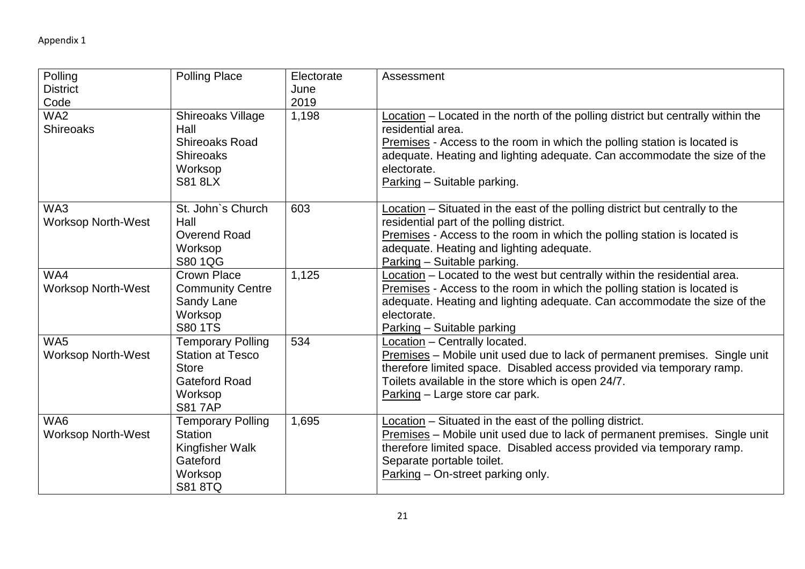| Polling<br><b>District</b><br>Code  | <b>Polling Place</b>                                                                                                    | Electorate<br>June<br>2019 | Assessment                                                                                                                                                                                                                                                                                                  |
|-------------------------------------|-------------------------------------------------------------------------------------------------------------------------|----------------------------|-------------------------------------------------------------------------------------------------------------------------------------------------------------------------------------------------------------------------------------------------------------------------------------------------------------|
| WA <sub>2</sub><br><b>Shireoaks</b> | Shireoaks Village<br>Hall<br><b>Shireoaks Road</b><br><b>Shireoaks</b><br>Worksop<br><b>S81 8LX</b>                     | 1,198                      | Location – Located in the north of the polling district but centrally within the<br>residential area.<br>Premises - Access to the room in which the polling station is located is<br>adequate. Heating and lighting adequate. Can accommodate the size of the<br>electorate.<br>Parking - Suitable parking. |
| WA3<br><b>Worksop North-West</b>    | St. John's Church<br>Hall<br><b>Overend Road</b><br>Worksop<br>S80 1QG                                                  | 603                        | Location - Situated in the east of the polling district but centrally to the<br>residential part of the polling district.<br>Premises - Access to the room in which the polling station is located is<br>adequate. Heating and lighting adequate.<br>Parking - Suitable parking.                            |
| WA4<br>Worksop North-West           | <b>Crown Place</b><br><b>Community Centre</b><br>Sandy Lane<br>Worksop<br>S80 1TS                                       | 1,125                      | Location - Located to the west but centrally within the residential area.<br>Premises - Access to the room in which the polling station is located is<br>adequate. Heating and lighting adequate. Can accommodate the size of the<br>electorate.<br>Parking - Suitable parking                              |
| WA5<br><b>Worksop North-West</b>    | <b>Temporary Polling</b><br><b>Station at Tesco</b><br><b>Store</b><br><b>Gateford Road</b><br>Worksop<br><b>S817AP</b> | 534                        | Location - Centrally located.<br>Premises - Mobile unit used due to lack of permanent premises. Single unit<br>therefore limited space. Disabled access provided via temporary ramp.<br>Toilets available in the store which is open 24/7.<br>Parking - Large store car park.                               |
| WA6<br><b>Worksop North-West</b>    | <b>Temporary Polling</b><br><b>Station</b><br>Kingfisher Walk<br>Gateford<br>Worksop<br><b>S81 8TQ</b>                  | 1,695                      | Location - Situated in the east of the polling district.<br>Premises - Mobile unit used due to lack of permanent premises. Single unit<br>therefore limited space. Disabled access provided via temporary ramp.<br>Separate portable toilet.<br>Parking - On-street parking only.                           |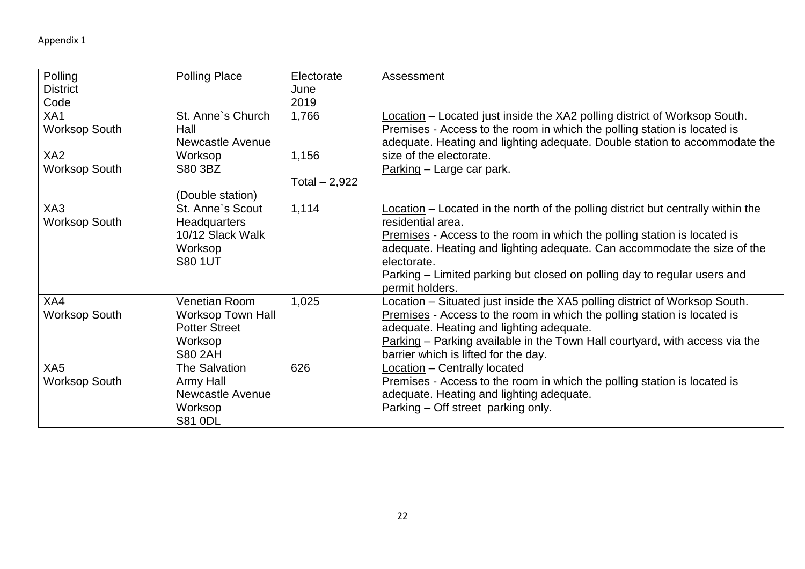| Polling              | <b>Polling Place</b>     | Electorate     | Assessment                                                                       |
|----------------------|--------------------------|----------------|----------------------------------------------------------------------------------|
| <b>District</b>      |                          | June           |                                                                                  |
| Code                 |                          | 2019           |                                                                                  |
| XA1                  | St. Anne's Church        | 1,766          | Location - Located just inside the XA2 polling district of Worksop South.        |
| <b>Worksop South</b> | Hall                     |                | Premises - Access to the room in which the polling station is located is         |
|                      | Newcastle Avenue         |                | adequate. Heating and lighting adequate. Double station to accommodate the       |
| XA <sub>2</sub>      | Worksop                  | 1,156          | size of the electorate.                                                          |
| <b>Worksop South</b> | S80 3BZ                  |                | Parking – Large car park.                                                        |
|                      |                          | Total $-2,922$ |                                                                                  |
|                      | (Double station)         |                |                                                                                  |
| XA3                  | St. Anne's Scout         | 1,114          | Location – Located in the north of the polling district but centrally within the |
| <b>Worksop South</b> | Headquarters             |                | residential area.                                                                |
|                      | 10/12 Slack Walk         |                | Premises - Access to the room in which the polling station is located is         |
|                      | Worksop                  |                | adequate. Heating and lighting adequate. Can accommodate the size of the         |
|                      | <b>S80 1UT</b>           |                | electorate.                                                                      |
|                      |                          |                | Parking – Limited parking but closed on polling day to regular users and         |
|                      |                          |                | permit holders.                                                                  |
| XA4                  | <b>Venetian Room</b>     | 1,025          | Location – Situated just inside the XA5 polling district of Worksop South.       |
| <b>Worksop South</b> | <b>Worksop Town Hall</b> |                | Premises - Access to the room in which the polling station is located is         |
|                      | <b>Potter Street</b>     |                | adequate. Heating and lighting adequate.                                         |
|                      | Worksop                  |                | Parking – Parking available in the Town Hall courtyard, with access via the      |
|                      | <b>S80 2AH</b>           |                | barrier which is lifted for the day.                                             |
| XA <sub>5</sub>      | The Salvation            | 626            | Location - Centrally located                                                     |
| <b>Worksop South</b> | Army Hall                |                | Premises - Access to the room in which the polling station is located is         |
|                      | Newcastle Avenue         |                | adequate. Heating and lighting adequate.                                         |
|                      | Worksop                  |                | Parking - Off street parking only.                                               |
|                      | <b>S81 0DL</b>           |                |                                                                                  |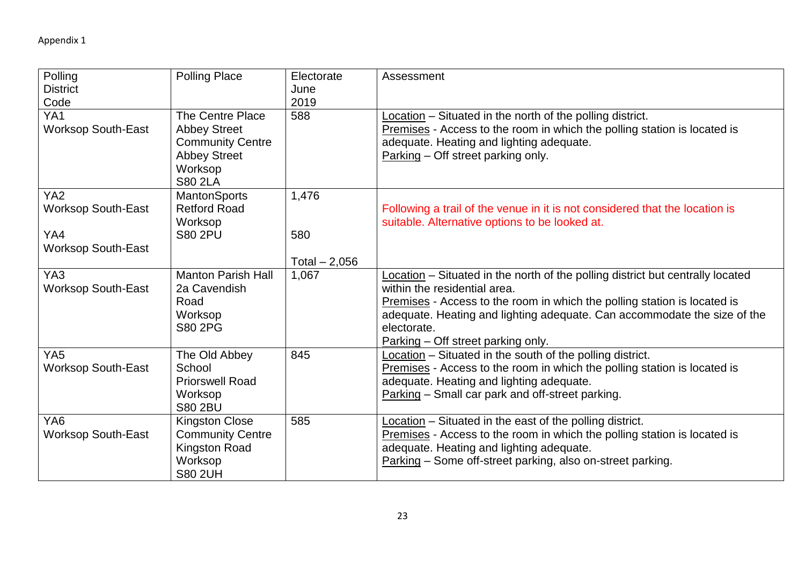| Polling<br><b>District</b><br>Code                                               | <b>Polling Place</b>                                                                                                   | Electorate<br>June<br>2019     | Assessment                                                                                                                                                                                                                                                                                                                  |
|----------------------------------------------------------------------------------|------------------------------------------------------------------------------------------------------------------------|--------------------------------|-----------------------------------------------------------------------------------------------------------------------------------------------------------------------------------------------------------------------------------------------------------------------------------------------------------------------------|
| YA <sub>1</sub><br><b>Worksop South-East</b>                                     | The Centre Place<br><b>Abbey Street</b><br><b>Community Centre</b><br><b>Abbey Street</b><br>Worksop<br><b>S80 2LA</b> | 588                            | Location - Situated in the north of the polling district.<br>Premises - Access to the room in which the polling station is located is<br>adequate. Heating and lighting adequate.<br>Parking – Off street parking only.                                                                                                     |
| YA <sub>2</sub><br><b>Worksop South-East</b><br>YA4<br><b>Worksop South-East</b> | <b>MantonSports</b><br><b>Retford Road</b><br>Worksop<br><b>S80 2PU</b>                                                | 1,476<br>580<br>Total $-2,056$ | Following a trail of the venue in it is not considered that the location is<br>suitable. Alternative options to be looked at.                                                                                                                                                                                               |
| YA3<br><b>Worksop South-East</b>                                                 | <b>Manton Parish Hall</b><br>2a Cavendish<br>Road<br>Worksop<br><b>S80 2PG</b>                                         | 1,067                          | Location - Situated in the north of the polling district but centrally located<br>within the residential area.<br>Premises - Access to the room in which the polling station is located is<br>adequate. Heating and lighting adequate. Can accommodate the size of the<br>electorate.<br>Parking - Off street parking only. |
| YA <sub>5</sub><br><b>Worksop South-East</b>                                     | The Old Abbey<br>School<br><b>Priorswell Road</b><br>Worksop<br><b>S80 2BU</b>                                         | 845                            | Location - Situated in the south of the polling district.<br>Premises - Access to the room in which the polling station is located is<br>adequate. Heating and lighting adequate.<br>Parking - Small car park and off-street parking.                                                                                       |
| YA <sub>6</sub><br><b>Worksop South-East</b>                                     | <b>Kingston Close</b><br><b>Community Centre</b><br>Kingston Road<br>Worksop<br><b>S80 2UH</b>                         | 585                            | Location - Situated in the east of the polling district.<br>Premises - Access to the room in which the polling station is located is<br>adequate. Heating and lighting adequate.<br>Parking - Some off-street parking, also on-street parking.                                                                              |